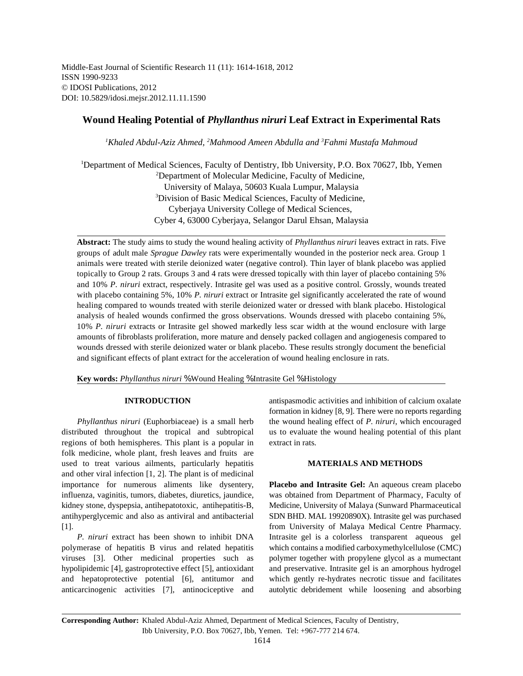Middle-East Journal of Scientific Research 11 (11): 1614-1618, 2012 ISSN 1990-9233 © IDOSI Publications, 2012 DOI: 10.5829/idosi.mejsr.2012.11.11.1590

# **Wound Healing Potential of** *Phyllanthus niruri* **Leaf Extract in Experimental Rats**

<sup>1</sup>Khaled Abdul-Aziz Ahmed, <sup>2</sup>Mahmood Ameen Abdulla and <sup>3</sup>Fahmi Mustafa Mahmoud

<sup>1</sup>Department of Medical Sciences, Faculty of Dentistry, Ibb University, P.O. Box 70627, Ibb, Yemen Department of Molecular Medicine, Faculty of Medicine, <sup>2</sup> University of Malaya, 50603 Kuala Lumpur, Malaysia <sup>3</sup>Division of Basic Medical Sciences, Faculty of Medicine, Cyberjaya University College of Medical Sciences, Cyber 4, 63000 Cyberjaya, Selangor Darul Ehsan, Malaysia

**Abstract:** The study aims to study the wound healing activity of *Phyllanthus niruri* leaves extract in rats. Five groups of adult male *Sprague Dawley* rats were experimentally wounded in the posterior neck area. Group 1 animals were treated with sterile deionized water (negative control). Thin layer of blank placebo was applied topically to Group 2 rats. Groups 3 and 4 rats were dressed topically with thin layer of placebo containing 5% and 10% *P. niruri* extract, respectively. Intrasite gel was used as a positive control. Grossly, wounds treated with placebo containing 5%, 10% *P. niruri* extract or Intrasite gel significantly accelerated the rate of wound healing compared to wounds treated with sterile deionized water or dressed with blank placebo. Histological analysis of healed wounds confirmed the gross observations. Wounds dressed with placebo containing 5%, 10% *P. niruri* extracts or Intrasite gel showed markedly less scar width at the wound enclosure with large amounts of fibroblasts proliferation, more mature and densely packed collagen and angiogenesis compared to wounds dressed with sterile deionized water or blank placebo. These results strongly document the beneficial and significant effects of plant extract for the acceleration of wound healing enclosure in rats.

**Key words:** *Phyllanthus niruri* % Wound Healing % Intrasite Gel % Histology

distributed throughout the tropical and subtropical us to evaluate the wound healing potential of this plant regions of both hemispheres. This plant is a popular in extract in rats*.* folk medicine, whole plant, fresh leaves and fruits are used to treat various ailments, particularly hepatitis **MATERIALS AND METHODS** and other viral infection [1, 2]. The plant is of medicinal importance for numerous aliments like dysentery, **Placebo and Intrasite Gel:** An aqueous cream placebo influenza, vaginitis, tumors, diabetes, diuretics, jaundice, was obtained from Department of Pharmacy, Faculty of kidney stone, dyspepsia, antihepatotoxic, antihepatitis-B, Medicine, University of Malaya (Sunward Pharmaceutical antihyperglycemic and also as antiviral and antibacterial SDN BHD. MAL 19920890X). Intrasite gel was purchased [1]. from University of Malaya Medical Centre Pharmacy.

polymerase of hepatitis B virus and related hepatitis which contains a modified carboxymethylcellulose (CMC) viruses [3]. Other medicinal properties such as polymer together with propylene glycol as a mumectant hypolipidemic [4], gastroprotective effect [5], antioxidant and preservative. Intrasite gel is an amorphous hydrogel and hepatoprotective potential [6], antitumor and which gently re-hydrates necrotic tissue and facilitates anticarcinogenic activities [7], antinociceptive and autolytic debridement while loosening and absorbing

**INTRODUCTION** antispasmodic activities and inhibition of calcium oxalate *Phyllanthus niruri* (Euphorbiaceae) is a small herb the wound healing effect of *P. niruri*, which encouraged formation in kidney [8, 9]. There were no reports regarding

*P. niruri* extract has been shown to inhibit DNA Intrasite gel is a colorless transparent aqueous gel

**Corresponding Author:** Khaled Abdul-Aziz Ahmed, Department of Medical Sciences, Faculty of Dentistry, Ibb University, P.O. Box 70627, Ibb, Yemen. Tel: +967-777 214 674.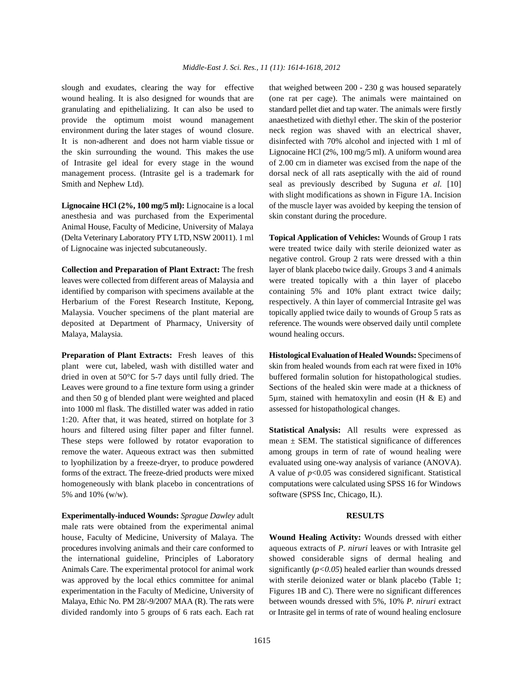wound healing. It is also designed for wounds that are (one rat per cage). The animals were maintained on granulating and epithelializing. It can also be used to standard pellet diet and tap water. The animals were firstly provide the optimum moist wound management anaesthetized with diethyl ether. The skin of the posterior environment during the later stages of wound closure. neck region was shaved with an electrical shaver, It is non-adherent and does not harm viable tissue or disinfected with 70% alcohol and injected with 1 ml of the skin surrounding the wound. This makes the use Lignocaine HCl (2%, 100 mg/5 ml). A uniform wound area of Intrasite gel ideal for every stage in the wound of 2.00 cm in diameter was excised from the nape of the management process. (Intrasite gel is a trademark for dorsal neck of all rats aseptically with the aid of round Smith and Nephew Ltd). Seal as previously described by Suguna *et al.* [10]

anesthesia and was purchased from the Experimental skin constant during the procedure. Animal House, Faculty of Medicine, University of Malaya (Delta Veterinary Laboratory PTY LTD, NSW 20011). 1 ml **Topical Application of Vehicles:** Wounds of Group 1 rats of Lignocaine was injected subcutaneously. were treated twice daily with sterile deionized water as

leaves were collected from different areas of Malaysia and were treated topically with a thin layer of placebo identified by comparison with specimens available at the containing 5% and 10% plant extract twice daily; Herbarium of the Forest Research Institute, Kepong, respectively. A thin layer of commercial Intrasite gel was Malaysia. Voucher specimens of the plant material are topically applied twice daily to wounds of Group 5 rats as deposited at Department of Pharmacy, University of reference. The wounds were observed daily until complete Malaya, Malaysia. wound healing occurs.

plant were cut, labeled, wash with distilled water and skin from healed wounds from each rat were fixed in 10% dried in oven at 50°C for 5-7 days until fully dried. The buffered formalin solution for histopathological studies. Leaves were ground to a fine texture form using a grinder Sections of the healed skin were made at a thickness of and then 50 g of blended plant were weighted and placed  $5\mu$ m, stained with hematoxylin and eosin (H & E) and into 1000 ml flask. The distilled water was added in ratio assessed for histopathological changes. 1:20. After that, it was heated, stirred on hotplate for 3 hours and filtered using filter paper and filter funnel. **Statistical Analysis:** All results were expressed as These steps were followed by rotator evaporation to mean  $\pm$  SEM. The statistical significance of differences remove the water. Aqueous extract was then submitted among groups in term of rate of wound healing were to lyophilization by a freeze-dryer, to produce powdered evaluated using one-way analysis of variance (ANOVA). forms of the extract. The freeze-dried products were mixed A value of *p*<0.05 was considered significant. Statistical homogeneously with blank placebo in concentrations of computations were calculated using SPSS 16 for Windows 5% and 10% (w/w). software (SPSS Inc, Chicago, IL).

**Experimentally-induced Wounds:** *Sprague Dawley* adult **RESULTS** male rats were obtained from the experimental animal house, Faculty of Medicine, University of Malaya. The **Wound Healing Activity:** Wounds dressed with either

slough and exudates, clearing the way for effective that weighed between 200 - 230 g was housed separately Lignocaine HCl (2%, 100 mg/5 ml): Lignocaine is a local of the muscle layer was avoided by keeping the tension of with slight modifications as shown in Figure 1A. Incision

**Collection and Preparation of Plant Extract:** The fresh layer of blank placebo twice daily. Groups 3 and 4 animals negative control. Group 2 rats were dressed with a thin

**Preparation of Plant Extracts:** Fresh leaves of this **HistologicalEvaluation of Healed Wounds:** Specimens of

procedures involving animals and their care conformed to aqueous extracts of *P. niruri* leaves or with Intrasite gel the international guideline, Principles of Laboratory showed considerable signs of dermal healing and Animals Care. The experimental protocol for animal work significantly ( $p < 0.05$ ) healed earlier than wounds dressed was approved by the local ethics committee for animal with sterile deionized water or blank placebo (Table 1; experimentation in the Faculty of Medicine, University of Figures 1B and C). There were no significant differences Malaya, Ethic No. PM 28/-9/2007 MAA (R). The rats were between wounds dressed with 5%, 10% *P. niruri* extract divided randomly into 5 groups of 6 rats each. Each rat or Intrasite gel in terms of rate of wound healing enclosure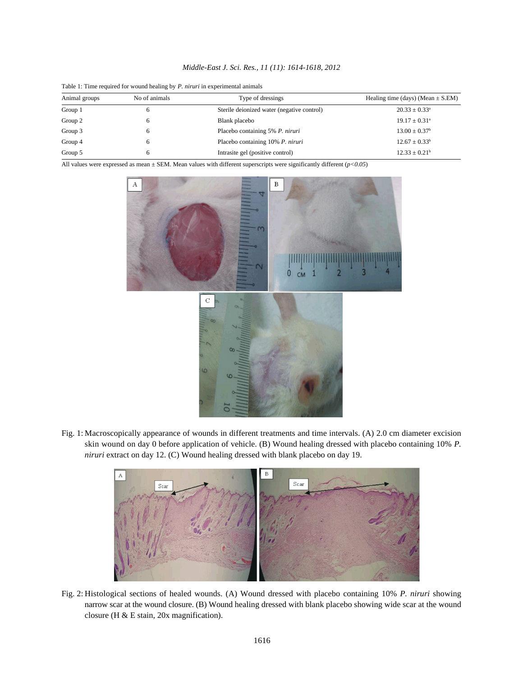| Animal groups | No of animals | Type of dressings                          | Healing time (days) (Mean $\pm$ S.EM) |
|---------------|---------------|--------------------------------------------|---------------------------------------|
| Group 1       |               | Sterile deionized water (negative control) | $20.33 \pm 0.33^{\circ}$              |
| Group 2       | 6             | Blank placebo                              | $19.17 \pm 0.31^{\circ}$              |
| Group 3       |               | Placebo containing 5% P. niruri            | $13.00 \pm 0.37^{\circ}$              |
| Group 4       | 6             | Placebo containing 10% P. niruri           | $12.67 \pm 0.33^b$                    |
| Group 5       | 6             | Intrasite gel (positive control)           | $12.33 \pm 0.21^{\rm b}$              |

*Middle-East J. Sci. Res., 11 (11): 1614-1618, 2012*

Table 1: Time required for wound healing by *P. niruri* in experimental animals

All values were expressed as mean ± SEM. Mean values with different superscripts were significantly different (*p<0.05*)



Fig. 1: Macroscopically appearance of wounds in different treatments and time intervals. (A) 2.0 cm diameter excision skin wound on day 0 before application of vehicle. (B) Wound healing dressed with placebo containing 10% *P. niruri* extract on day 12. (C) Wound healing dressed with blank placebo on day 19.



Fig. 2: Histological sections of healed wounds. (A) Wound dressed with placebo containing 10% *P. niruri* showing narrow scar at the wound closure. (B) Wound healing dressed with blank placebo showing wide scar at the wound closure (H & E stain, 20x magnification).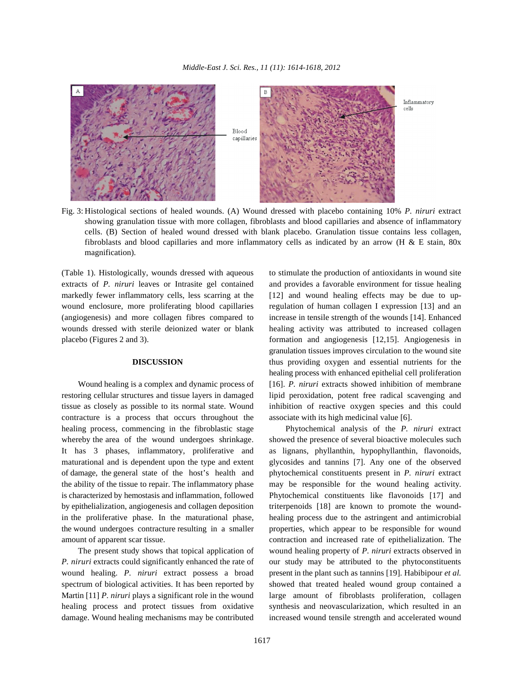

Fig. 3: Histological sections of healed wounds. (A) Wound dressed with placebo containing 10% *P. niruri* extract showing granulation tissue with more collagen, fibroblasts and blood capillaries and absence of inflammatory cells. (B) Section of healed wound dressed with blank placebo. Granulation tissue contains less collagen, fibroblasts and blood capillaries and more inflammatory cells as indicated by an arrow (H & E stain, 80x magnification).

extracts of *P. niruri* leaves or Intrasite gel contained and provides a favorable environment for tissue healing markedly fewer inflammatory cells, less scarring at the [12] and wound healing effects may be due to upwound enclosure, more proliferating blood capillaries regulation of human collagen I expression [13] and an (angiogenesis) and more collagen fibres compared to increase in tensile strength of the wounds [14]. Enhanced wounds dressed with sterile deionized water or blank healing activity was attributed to increased collagen placebo (Figures 2 and 3). formation and angiogenesis [12,15]. Angiogenesis in

restoring cellular structures and tissue layers in damaged lipid peroxidation, potent free radical scavenging and tissue as closely as possible to its normal state. Wound inhibition of reactive oxygen species and this could contracture is a process that occurs throughout the associate with its high medicinal value [6]. healing process, commencing in the fibroblastic stage Phytochemical analysis of the *P. niruri* extract whereby the area of the wound undergoes shrinkage. showed the presence of several bioactive molecules such It has 3 phases, inflammatory, proliferative and as lignans, phyllanthin, hypophyllanthin, flavonoids, maturational and is dependent upon the type and extent glycosides and tannins [7]. Any one of the observed of damage, the general state of the host's health and phytochemical constituents present in *P. niruri* extract the ability of the tissue to repair. The inflammatory phase may be responsible for the wound healing activity. is characterized by hemostasis and inflammation, followed Phytochemical constituents like flavonoids [17] and by epithelialization, angiogenesis and collagen deposition triterpenoids [18] are known to promote the woundin the proliferative phase. In the maturational phase, healing process due to the astringent and antimicrobial the wound undergoes contracture resulting in a smaller properties, which appear to be responsible for wound

*P. niruri* extracts could significantly enhanced the rate of our study may be attributed to the phytoconstituents wound healing. *P. niruri* extract possess a broad present in the plant such as tannins [19]. Habibipour *et al.* spectrum of biological activities. It has been reported by showed that treated healed wound group contained a Martin [11] *P. niruri* plays a significant role in the wound large amount of fibroblasts proliferation, collagen healing process and protect tissues from oxidative synthesis and neovascularization, which resulted in an damage. Wound healing mechanisms may be contributed increased wound tensile strength and accelerated wound

(Table 1). Histologically, wounds dressed with aqueous to stimulate the production of antioxidants in wound site **DISCUSSION** thus providing oxygen and essential nutrients for the Wound healing is a complex and dynamic process of [16]. *P. niruri* extracts showed inhibition of membrane granulation tissues improves circulation to the wound site healing process with enhanced epithelial cell proliferation

amount of apparent scar tissue. contraction and increased rate of epithelialization. The The present study shows that topical application of wound healing property of *P. niruri* extracts observed in